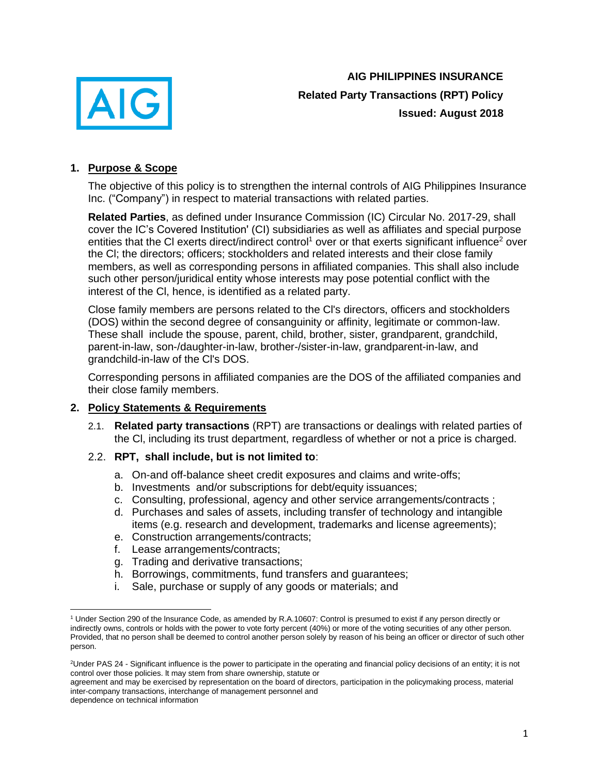

**AIG PHILIPPINES INSURANCE Related Party Transactions (RPT) Policy Issued: August 2018**

# **1. Purpose & Scope**

The objective of this policy is to strengthen the internal controls of AIG Philippines Insurance Inc. ("Company") in respect to material transactions with related parties.

**Related Parties**, as defined under Insurance Commission (IC) Circular No. 2017-29, shall cover the IC's Covered Institution' (CI) subsidiaries as well as affiliates and special purpose entities that the CI exerts direct/indirect control<sup>1</sup> over or that exerts significant influence<sup>2</sup> over the Cl; the directors; officers; stockholders and related interests and their close family members, as well as corresponding persons in affiliated companies. This shall also include such other person/juridical entity whose interests may pose potential conflict with the interest of the Cl, hence, is identified as a related party.

Close family members are persons related to the Cl's directors, officers and stockholders (DOS) within the second degree of consanguinity or affinity, legitimate or common-law. These shall include the spouse, parent, child, brother, sister, grandparent, grandchild, parent-in-law, son-/daughter-in-law, brother-/sister-in-law, grandparent-in-law, and grandchild-in-law of the Cl's DOS.

Corresponding persons in affiliated companies are the DOS of the affiliated companies and their close family members.

# **2. Policy Statements & Requirements**

- 2.1. **Related party transactions** (RPT) are transactions or dealings with related parties of the Cl, including its trust department, regardless of whether or not a price is charged.
- 2.2. **RPT, shall include, but is not limited to**:
	- a. On-and off-balance sheet credit exposures and claims and write-offs;
	- b. Investments and/or subscriptions for debt/equity issuances;
	- c. Consulting, professional, agency and other service arrangements/contracts ;
	- d. Purchases and sales of assets, including transfer of technology and intangible items (e.g. research and development, trademarks and license agreements);
	- e. Construction arrangements/contracts;
	- f. Lease arrangements/contracts;
	- g. Trading and derivative transactions;
	- h. Borrowings, commitments, fund transfers and guarantees;
	- i. Sale, purchase or supply of any goods or materials; and

agreement and may be exercised by representation on the board of directors, participation in the policymaking process, material inter-company transactions, interchange of management personnel and

dependence on technical information

<sup>1</sup> Under Section 290 of the lnsurance Code, as amended by R.A.10607: Control is presumed to exist if any person directly or indirectly owns, controls or holds with the power to vote forty percent (40%) or more of the voting securities of any other person. Provided, that no person shall be deemed to control another person solely by reason of his being an officer or director of such other person.

<sup>&</sup>lt;sup>2</sup>Under PAS 24 - Significant influence is the power to participate in the operating and financial policy decisions of an entity; it is not control over those policies. lt may stem from share ownership, statute or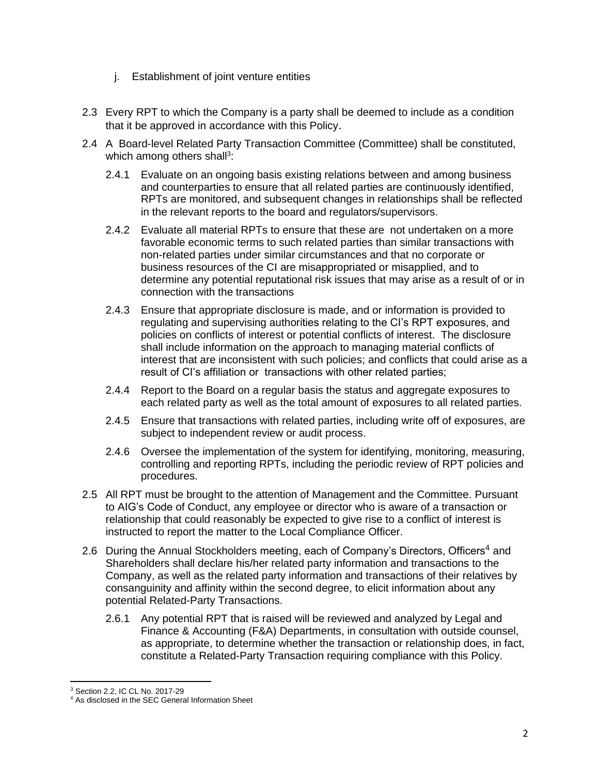- j. Establishment of joint venture entities
- 2.3 Every RPT to which the Company is a party shall be deemed to include as a condition that it be approved in accordance with this Policy.
- 2.4 A Board-level Related Party Transaction Committee (Committee) shall be constituted, which among others shall<sup>3</sup>:
	- 2.4.1 Evaluate on an ongoing basis existing relations between and among business and counterparties to ensure that all related parties are continuously identified, RPTs are monitored, and subsequent changes in relationships shall be reflected in the relevant reports to the board and regulators/supervisors.
	- 2.4.2 Evaluate all material RPTs to ensure that these are not undertaken on a more favorable economic terms to such related parties than similar transactions with non-related parties under similar circumstances and that no corporate or business resources of the CI are misappropriated or misapplied, and to determine any potential reputational risk issues that may arise as a result of or in connection with the transactions
	- 2.4.3 Ensure that appropriate disclosure is made, and or information is provided to regulating and supervising authorities relating to the CI's RPT exposures, and policies on conflicts of interest or potential conflicts of interest. The disclosure shall include information on the approach to managing material conflicts of interest that are inconsistent with such policies; and conflicts that could arise as a result of CI's affiliation or transactions with other related parties;
	- 2.4.4 Report to the Board on a regular basis the status and aggregate exposures to each related party as well as the total amount of exposures to all related parties.
	- 2.4.5 Ensure that transactions with related parties, including write off of exposures, are subject to independent review or audit process.
	- 2.4.6 Oversee the implementation of the system for identifying, monitoring, measuring, controlling and reporting RPTs, including the periodic review of RPT policies and procedures.
- 2.5 All RPT must be brought to the attention of Management and the Committee. Pursuant to AIG's Code of Conduct, any employee or director who is aware of a transaction or relationship that could reasonably be expected to give rise to a conflict of interest is instructed to report the matter to the Local Compliance Officer.
- 2.6 During the Annual Stockholders meeting, each of Company's Directors, Officers<sup>4</sup> and Shareholders shall declare his/her related party information and transactions to the Company, as well as the related party information and transactions of their relatives by consanguinity and affinity within the second degree, to elicit information about any potential Related-Party Transactions.
	- 2.6.1 Any potential RPT that is raised will be reviewed and analyzed by Legal and Finance & Accounting (F&A) Departments, in consultation with outside counsel, as appropriate, to determine whether the transaction or relationship does, in fact, constitute a Related-Party Transaction requiring compliance with this Policy.

<sup>3</sup> Section 2.2, IC CL No. 2017-29

<sup>4</sup> As disclosed in the SEC General Information Sheet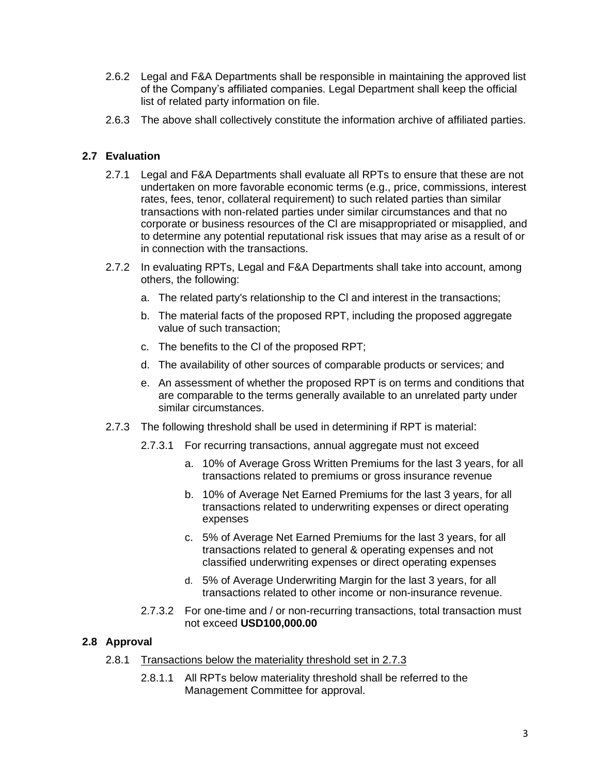- 2.6.2 Legal and F&A Departments shall be responsible in maintaining the approved list of the Company's affiliated companies. Legal Department shall keep the official list of related party information on file.
- 2.6.3 The above shall collectively constitute the information archive of affiliated parties.

# **2.7 Evaluation**

- 2.7.1 Legal and F&A Departments shall evaluate all RPTs to ensure that these are not undertaken on more favorable economic terms (e.g., price, commissions, interest rates, fees, tenor, collateral requirement) to such related parties than similar transactions with non-related parties under similar circumstances and that no corporate or business resources of the Cl are misappropriated or misapplied, and to determine any potential reputational risk issues that may arise as a result of or in connection with the transactions.
- 2.7.2 In evaluating RPTs, Legal and F&A Departments shall take into account, among others, the following:
	- a. The related party's relationship to the Cl and interest in the transactions;
	- b. The material facts of the proposed RPT, including the proposed aggregate value of such transaction;
	- c. The benefits to the Cl of the proposed RPT;
	- d. The availability of other sources of comparable products or services; and
	- e. An assessment of whether the proposed RPT is on terms and conditions that are comparable to the terms generally available to an unrelated party under similar circumstances.
- 2.7.3 The following threshold shall be used in determining if RPT is material:
	- 2.7.3.1 For recurring transactions, annual aggregate must not exceed
		- a. 10% of Average Gross Written Premiums for the last 3 years, for all transactions related to premiums or gross insurance revenue
		- b. 10% of Average Net Earned Premiums for the last 3 years, for all transactions related to underwriting expenses or direct operating expenses
		- c. 5% of Average Net Earned Premiums for the last 3 years, for all transactions related to general & operating expenses and not classified underwriting expenses or direct operating expenses
		- d. 5% of Average Underwriting Margin for the last 3 years, for all transactions related to other income or non-insurance revenue.
	- 2.7.3.2 For one-time and / or non-recurring transactions, total transaction must not exceed **USD100,000.00**

# **2.8 Approval**

- 2.8.1 Transactions below the materiality threshold set in 2.7.3
	- 2.8.1.1 All RPTs below materiality threshold shall be referred to the Management Committee for approval.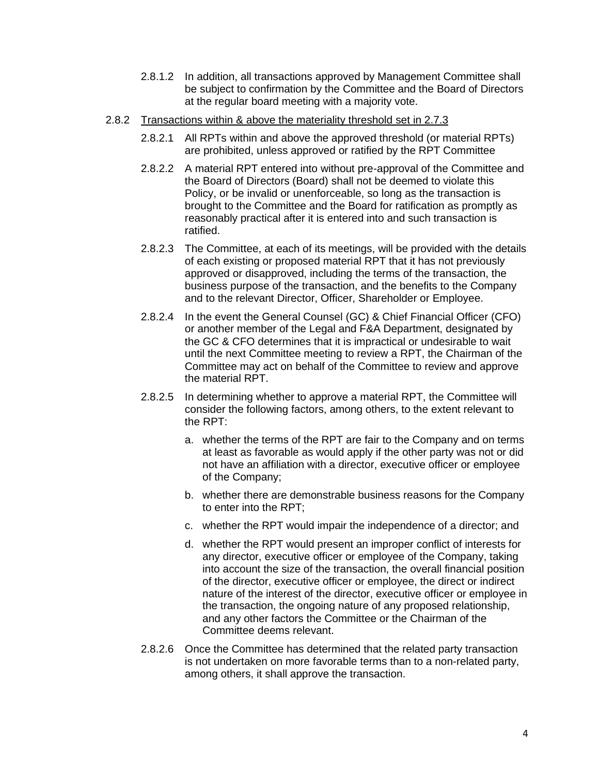- 2.8.1.2 In addition, all transactions approved by Management Committee shall be subject to confirmation by the Committee and the Board of Directors at the regular board meeting with a majority vote.
- 2.8.2 Transactions within & above the materiality threshold set in 2.7.3
	- 2.8.2.1 All RPTs within and above the approved threshold (or material RPTs) are prohibited, unless approved or ratified by the RPT Committee
	- 2.8.2.2 A material RPT entered into without pre-approval of the Committee and the Board of Directors (Board) shall not be deemed to violate this Policy, or be invalid or unenforceable, so long as the transaction is brought to the Committee and the Board for ratification as promptly as reasonably practical after it is entered into and such transaction is ratified.
	- 2.8.2.3 The Committee, at each of its meetings, will be provided with the details of each existing or proposed material RPT that it has not previously approved or disapproved, including the terms of the transaction, the business purpose of the transaction, and the benefits to the Company and to the relevant Director, Officer, Shareholder or Employee.
	- 2.8.2.4 In the event the General Counsel (GC) & Chief Financial Officer (CFO) or another member of the Legal and F&A Department, designated by the GC & CFO determines that it is impractical or undesirable to wait until the next Committee meeting to review a RPT, the Chairman of the Committee may act on behalf of the Committee to review and approve the material RPT.
	- 2.8.2.5 In determining whether to approve a material RPT, the Committee will consider the following factors, among others, to the extent relevant to the RPT:
		- a. whether the terms of the RPT are fair to the Company and on terms at least as favorable as would apply if the other party was not or did not have an affiliation with a director, executive officer or employee of the Company;
		- b. whether there are demonstrable business reasons for the Company to enter into the RPT;
		- c. whether the RPT would impair the independence of a director; and
		- d. whether the RPT would present an improper conflict of interests for any director, executive officer or employee of the Company, taking into account the size of the transaction, the overall financial position of the director, executive officer or employee, the direct or indirect nature of the interest of the director, executive officer or employee in the transaction, the ongoing nature of any proposed relationship, and any other factors the Committee or the Chairman of the Committee deems relevant.
	- 2.8.2.6 Once the Committee has determined that the related party transaction is not undertaken on more favorable terms than to a non-related party, among others, it shall approve the transaction.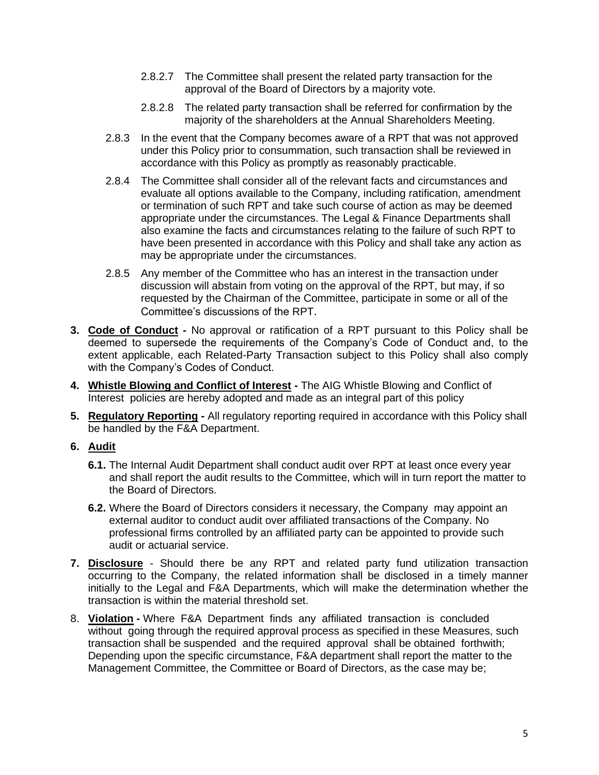- 2.8.2.7 The Committee shall present the related party transaction for the approval of the Board of Directors by a majority vote.
- 2.8.2.8 The related party transaction shall be referred for confirmation by the majority of the shareholders at the Annual Shareholders Meeting.
- 2.8.3 In the event that the Company becomes aware of a RPT that was not approved under this Policy prior to consummation, such transaction shall be reviewed in accordance with this Policy as promptly as reasonably practicable.
- 2.8.4 The Committee shall consider all of the relevant facts and circumstances and evaluate all options available to the Company, including ratification, amendment or termination of such RPT and take such course of action as may be deemed appropriate under the circumstances. The Legal & Finance Departments shall also examine the facts and circumstances relating to the failure of such RPT to have been presented in accordance with this Policy and shall take any action as may be appropriate under the circumstances.
- 2.8.5 Any member of the Committee who has an interest in the transaction under discussion will abstain from voting on the approval of the RPT, but may, if so requested by the Chairman of the Committee, participate in some or all of the Committee's discussions of the RPT.
- **3. Code of Conduct -** No approval or ratification of a RPT pursuant to this Policy shall be deemed to supersede the requirements of the Company's Code of Conduct and, to the extent applicable, each Related-Party Transaction subject to this Policy shall also comply with the Company's Codes of Conduct.
- **4. Whistle Blowing and Conflict of Interest -** The AIG Whistle Blowing and Conflict of Interest policies are hereby adopted and made as an integral part of this policy
- **5. Regulatory Reporting -** All regulatory reporting required in accordance with this Policy shall be handled by the F&A Department.

# **6. Audit**

- **6.1.** The Internal Audit Department shall conduct audit over RPT at least once every year and shall report the audit results to the Committee, which will in turn report the matter to the Board of Directors.
- **6.2.** Where the Board of Directors considers it necessary, the Company may appoint an external auditor to conduct audit over affiliated transactions of the Company. No professional firms controlled by an affiliated party can be appointed to provide such audit or actuarial service.
- **7. Disclosure** Should there be any RPT and related party fund utilization transaction occurring to the Company, the related information shall be disclosed in a timely manner initially to the Legal and F&A Departments, which will make the determination whether the transaction is within the material threshold set.
- 8. **Violation -** Where F&A Department finds any affiliated transaction is concluded without going through the required approval process as specified in these Measures, such transaction shall be suspended and the required approval shall be obtained forthwith; Depending upon the specific circumstance, F&A department shall report the matter to the Management Committee, the Committee or Board of Directors, as the case may be;